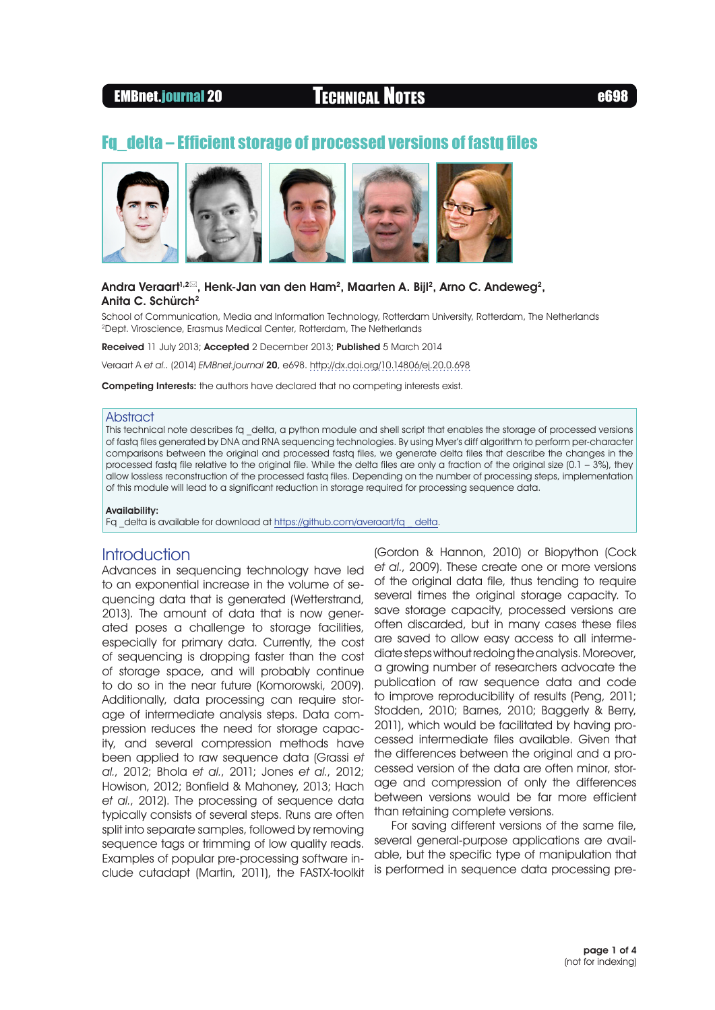# EMBnet.journal 20 Technical Notes e698

# Fq\_delta – Efficient storage of processed versions of fastq files



## Andra Veraart<sup>1,2 $\approx$ , Henk-Jan van den Ham<sup>2</sup>, Maarten A. Bijl<sup>2</sup>, Arno C. Andeweg<sup>2</sup>,</sup> Anita C. Schürch<sup>2</sup>

School of Communication, Media and Information Technology, Rotterdam University, Rotterdam, The Netherlands 2Dept. Viroscience, Erasmus Medical Center, Rotterdam, The Netherlands

Received 11 July 2013; Accepted 2 December 2013; Published 5 March 2014

Veraart A et al.. (2014) EMBnet.journal 20, e698.<http://dx.doi.org/10.14806/ej.20.0.698>

Competing Interests: the authors have declared that no competing interests exist.

### **Abstract**

This technical note describes fq \_delta, a python module and shell script that enables the storage of processed versions of fastq files generated by DNA and RNA sequencing technologies. By using Myer's diff algorithm to perform per-character comparisons between the original and processed fastq files, we generate delta files that describe the changes in the processed fastq file relative to the original file. While the delta files are only a fraction of the original size (0.1 – 3%), they allow lossless reconstruction of the processed fastq files. Depending on the number of processing steps, implementation of this module will lead to a significant reduction in storage required for processing sequence data.

### Availability:

Fq \_delta is available for download at [https://github.com/averaart/fq \\_ delta.](https://github.com/averaart/fq_delta)

# Introduction

Advances in sequencing technology have led to an exponential increase in the volume of sequencing data that is generated (Wetterstrand, 2013). The amount of data that is now generated poses a challenge to storage facilities, especially for primary data. Currently, the cost of sequencing is dropping faster than the cost of storage space, and will probably continue to do so in the near future (Komorowski, 2009). Additionally, data processing can require storage of intermediate analysis steps. Data compression reduces the need for storage capacity, and several compression methods have been applied to raw sequence data (Grassi et al., 2012; Bhola et al., 2011; Jones et al., 2012; Howison, 2012; Bonfield & Mahoney, 2013; Hach et al., 2012). The processing of sequence data typically consists of several steps. Runs are often split into separate samples, followed by removing sequence tags or trimming of low quality reads. Examples of popular pre-processing software include cutadapt (Martin, 2011), the FASTX-toolkit

(Gordon & Hannon, 2010) or Biopython (Cock et al., 2009). These create one or more versions of the original data file, thus tending to require several times the original storage capacity. To save storage capacity, processed versions are often discarded, but in many cases these files are saved to allow easy access to all intermediate steps without redoing the analysis. Moreover, a growing number of researchers advocate the publication of raw sequence data and code to improve reproducibility of results (Peng, 2011; Stodden, 2010; Barnes, 2010; Baggerly & Berry, 2011), which would be facilitated by having processed intermediate files available. Given that the differences between the original and a processed version of the data are often minor, storage and compression of only the differences between versions would be far more efficient than retaining complete versions.

For saving different versions of the same file, several general-purpose applications are available, but the specific type of manipulation that is performed in sequence data processing pre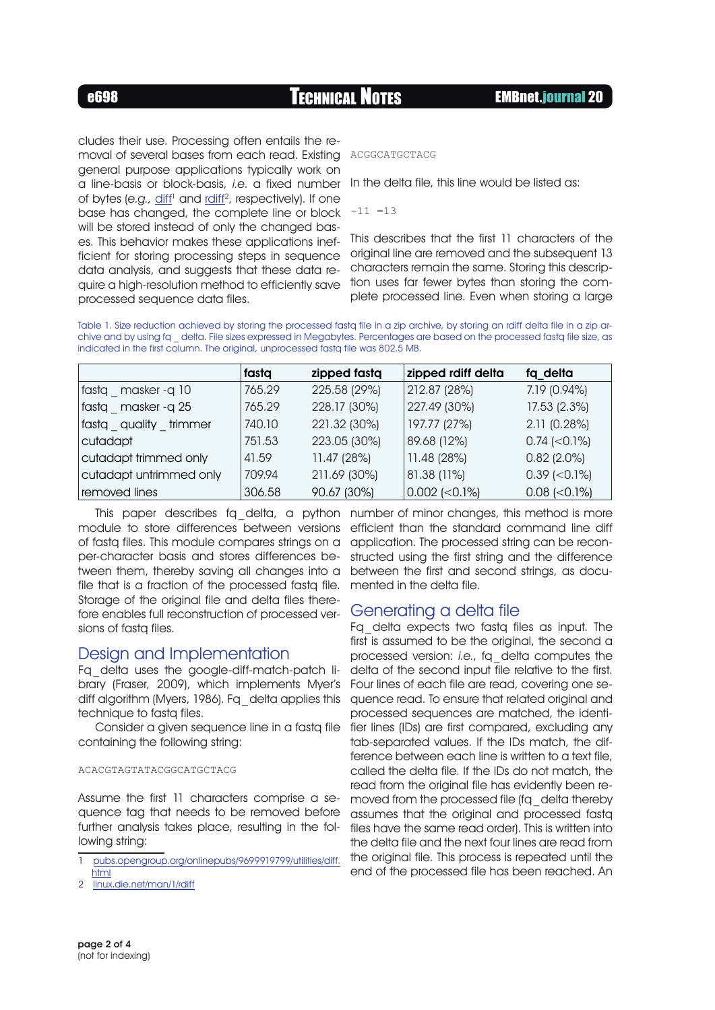e698 Technical Notes EMBnet.journal 20

cludes their use. Processing often entails the removal of several bases from each read. Existing ACGGCATGCTACG general purpose applications typically work on a line-basis or block-basis, i.e. a fixed number of bytes (e.g., diff<sup>1</sup> and [rdiff](http://linux.die.net/man/1/rdiff)<sup>2</sup>, respectively). If one base has changed, the complete line or block will be stored instead of only the changed bases. This behavior makes these applications inefficient for storing processing steps in sequence data analysis, and suggests that these data require a high-resolution method to efficiently save processed sequence data files.

In the delta file, this line would be listed as:

 $-11 = 13$ 

This describes that the first 11 characters of the original line are removed and the subsequent 13 characters remain the same. Storing this description uses far fewer bytes than storing the complete processed line. Even when storing a large

Table 1. Size reduction achieved by storing the processed fastq file in a zip archive, by storing an rdiff delta file in a zip archive and by using fq \_ delta. File sizes expressed in Megabytes. Percentages are based on the processed fastq file size, as indicated in the first column. The original, unprocessed fastq file was 802.5 MB.

|                         | fasta  | zipped fasta | zipped rdiff delta | fq delta            |
|-------------------------|--------|--------------|--------------------|---------------------|
| fastq masker-q 10       | 765.29 | 225.58 (29%) | 212.87 (28%)       | 7.19 (0.94%)        |
| fasta masker-q25        | 765.29 | 228.17 (30%) | 227.49 (30%)       | 17.53 (2.3%)        |
| fastq quality trimmer   | 740.10 | 221.32 (30%) | 197.77 (27%)       | 2.11 (0.28%)        |
| cutadapt                | 751.53 | 223.05 (30%) | 89.68 (12%)        | $0.74$ (< 0.1%)     |
| cutadapt trimmed only   | 41.59  | 11.47(28%)   | 11.48 (28%)        | $0.82(2.0\%)$       |
| cutadapt untrimmed only | 709.94 | 211.69 (30%) | 81.38 (11%)        | $0.39$ ( $0.1\%$ )  |
| removed lines           | 306.58 | 90.67 (30%)  | $0.002$ (<0.1%)    | $0.08$ (< $0.1\%$ ) |

This paper describes fq delta, a python number of minor changes, this method is more module to store differences between versions of fastq files. This module compares strings on a per-character basis and stores differences between them, thereby saving all changes into a file that is a fraction of the processed fasta file. Storage of the original file and delta files therefore enables full reconstruction of processed versions of fastq files.

# Design and Implementation

Fq\_delta uses the google-diff-match-patch library (Fraser, 2009), which implements Myer's diff algorithm (Myers, 1986). Fq\_delta applies this technique to fastq files.

Consider a given sequence line in a fastq file containing the following string:

### ACACGTAGTATACGGCATGCTACG

Assume the first 11 characters comprise a sequence tag that needs to be removed before further analysis takes place, resulting in the following string:

- 1 [pubs.opengroup.org/onlinepubs/9699919799/utilities/diff.](http://pubs.opengroup.org/onlinepubs/9699919799/utilities/diff.html) [html](http://pubs.opengroup.org/onlinepubs/9699919799/utilities/diff.html)
- 2 [linux.die.net/man/1/rdiff](http://linux.die.net/man/1/rdiff)

efficient than the standard command line diff application. The processed string can be reconstructed using the first string and the difference between the first and second strings, as documented in the delta file.

# Generating a delta file

Fq\_delta expects two fastq files as input. The first is assumed to be the original, the second a processed version: i.e., fq\_delta computes the delta of the second input file relative to the first. Four lines of each file are read, covering one sequence read. To ensure that related original and processed sequences are matched, the identifier lines (IDs) are first compared, excluding any tab-separated values. If the IDs match, the difference between each line is written to a text file, called the delta file. If the IDs do not match, the read from the original file has evidently been removed from the processed file (fq\_delta thereby assumes that the original and processed fastq files have the same read order). This is written into the delta file and the next four lines are read from the original file. This process is repeated until the end of the processed file has been reached. An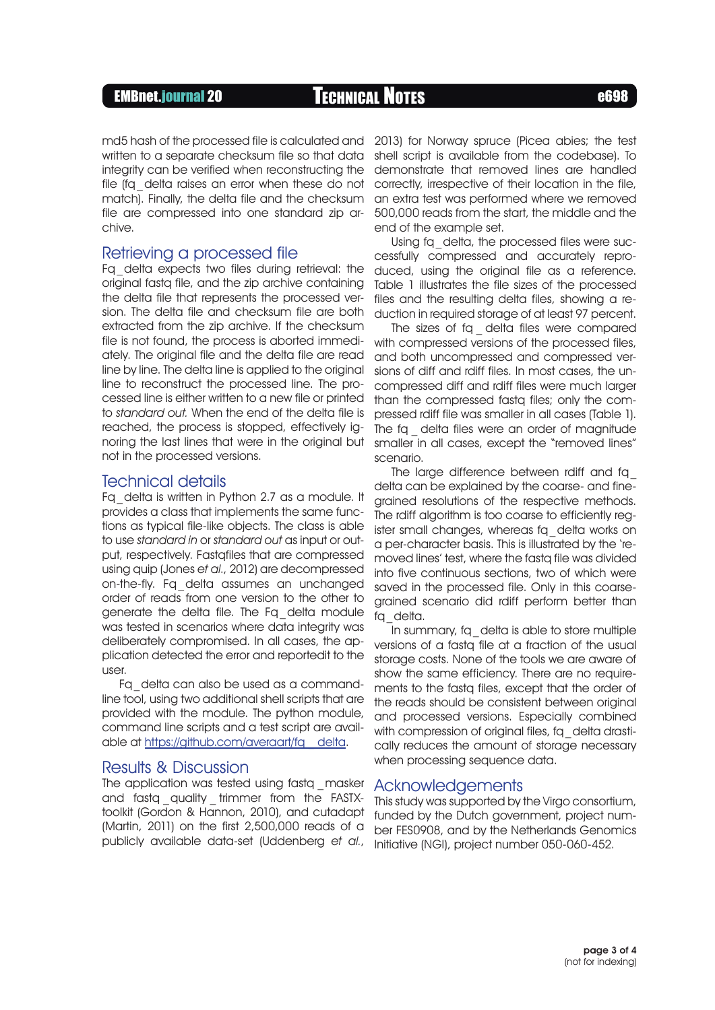## EMBnet.journal 20 Technical Notes e698

written to a separate checksum file so that data integrity can be verified when reconstructing the file (fa delta raises an error when these do not match). Finally, the delta file and the checksum file are compressed into one standard zip archive.

## Retrieving a processed file

Fq\_delta expects two files during retrieval: the original fastq file, and the zip archive containing the delta file that represents the processed version. The delta file and checksum file are both extracted from the zip archive. If the checksum file is not found, the process is aborted immediately. The original file and the delta file are read line by line. The delta line is applied to the original line to reconstruct the processed line. The processed line is either written to a new file or printed to standard out. When the end of the delta file is reached, the process is stopped, effectively ignoring the last lines that were in the original but not in the processed versions.

## Technical details

Fq\_delta is written in Python 2.7 as a module. It provides a class that implements the same functions as typical file-like objects. The class is able to use standard in or standard out as input or output, respectively. Fastqfiles that are compressed using quip (Jones et al., 2012) are decompressed on-the-fly. Fq\_delta assumes an unchanged order of reads from one version to the other to generate the delta file. The Fq\_delta module was tested in scenarios where data integrity was deliberately compromised. In all cases, the application detected the error and reportedit to the user.

Fq\_delta can also be used as a commandline tool, using two additional shell scripts that are provided with the module. The python module, command line scripts and a test script are available at [https://github.com/averaart/fq \\_ delta.](https://github.com/averaart/fq_delta)

## Results & Discussion

The application was tested using fastq masker and fastq quality trimmer from the FASTXtoolkit (Gordon & Hannon, 2010), and cutadapt (Martin, 2011) on the first 2,500,000 reads of a publicly available data-set (Uddenberg et al.,

2013) for Norway spruce (Picea abies; the test shell script is available from the codebase). To demonstrate that removed lines are handled correctly, irrespective of their location in the file, an extra test was performed where we removed 500,000 reads from the start, the middle and the end of the example set.

Using fq delta, the processed files were successfully compressed and accurately reproduced, using the original file as a reference. Table 1 illustrates the file sizes of the processed files and the resulting delta files, showing a reduction in required storage of at least 97 percent.

The sizes of fq delta files were compared with compressed versions of the processed files, and both uncompressed and compressed versions of diff and rdiff files. In most cases, the uncompressed diff and rdiff files were much larger than the compressed fastq files; only the compressed rdiff file was smaller in all cases (Table 1). The fq delta files were an order of magnitude smaller in all cases, except the "removed lines" scenario.

The large difference between rdiff and fq\_ delta can be explained by the coarse- and finegrained resolutions of the respective methods. The rdiff algorithm is too coarse to efficiently register small changes, whereas fq\_delta works on a per-character basis. This is illustrated by the 'removed lines' test, where the fastq file was divided into five continuous sections, two of which were saved in the processed file. Only in this coarsegrained scenario did rdiff perform better than fa delta.

In summary, fq\_delta is able to store multiple versions of a fastq file at a fraction of the usual storage costs. None of the tools we are aware of show the same efficiency. There are no requirements to the fastq files, except that the order of the reads should be consistent between original and processed versions. Especially combined with compression of original files, fq\_delta drastically reduces the amount of storage necessary when processing sequence data.

## Acknowledgements

This study was supported by the Virgo consortium, funded by the Dutch government, project number FES0908, and by the Netherlands Genomics Initiative (NGI), project number 050-060-452.